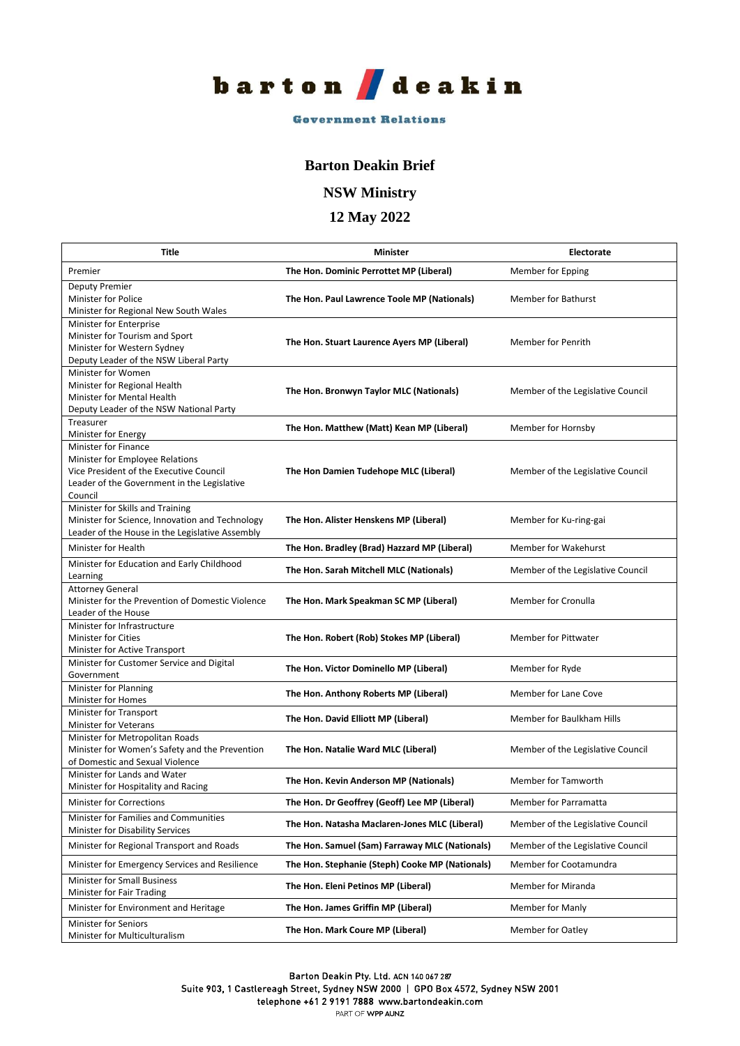

#### **Government Relations**

#### **Barton Deakin Brief**

**NSW Ministry**

### **12 May 2022**

| Title                                                                                                                                                        | <b>Minister</b>                                 | Electorate                        |
|--------------------------------------------------------------------------------------------------------------------------------------------------------------|-------------------------------------------------|-----------------------------------|
| Premier                                                                                                                                                      | The Hon. Dominic Perrottet MP (Liberal)         | Member for Epping                 |
| <b>Deputy Premier</b><br>Minister for Police<br>Minister for Regional New South Wales                                                                        | The Hon. Paul Lawrence Toole MP (Nationals)     | <b>Member for Bathurst</b>        |
| Minister for Enterprise<br>Minister for Tourism and Sport<br>Minister for Western Sydney<br>Deputy Leader of the NSW Liberal Party                           | The Hon. Stuart Laurence Ayers MP (Liberal)     | Member for Penrith                |
| Minister for Women<br>Minister for Regional Health<br>Minister for Mental Health<br>Deputy Leader of the NSW National Party                                  | The Hon. Bronwyn Taylor MLC (Nationals)         | Member of the Legislative Council |
| Treasurer<br>Minister for Energy                                                                                                                             | The Hon. Matthew (Matt) Kean MP (Liberal)       | Member for Hornsby                |
| Minister for Finance<br>Minister for Employee Relations<br>Vice President of the Executive Council<br>Leader of the Government in the Legislative<br>Council | The Hon Damien Tudehope MLC (Liberal)           | Member of the Legislative Council |
| Minister for Skills and Training<br>Minister for Science, Innovation and Technology<br>Leader of the House in the Legislative Assembly                       | The Hon. Alister Henskens MP (Liberal)          | Member for Ku-ring-gai            |
| Minister for Health                                                                                                                                          | The Hon. Bradley (Brad) Hazzard MP (Liberal)    | Member for Wakehurst              |
| Minister for Education and Early Childhood<br>Learning                                                                                                       | The Hon. Sarah Mitchell MLC (Nationals)         | Member of the Legislative Council |
| <b>Attorney General</b><br>Minister for the Prevention of Domestic Violence<br>Leader of the House                                                           | The Hon. Mark Speakman SC MP (Liberal)          | Member for Cronulla               |
| Minister for Infrastructure<br><b>Minister for Cities</b><br>Minister for Active Transport                                                                   | The Hon. Robert (Rob) Stokes MP (Liberal)       | <b>Member for Pittwater</b>       |
| Minister for Customer Service and Digital<br>Government                                                                                                      | The Hon. Victor Dominello MP (Liberal)          | Member for Ryde                   |
| Minister for Planning<br>Minister for Homes                                                                                                                  | The Hon. Anthony Roberts MP (Liberal)           | Member for Lane Cove              |
| Minister for Transport<br>Minister for Veterans                                                                                                              | The Hon. David Elliott MP (Liberal)             | Member for Baulkham Hills         |
| Minister for Metropolitan Roads<br>Minister for Women's Safety and the Prevention<br>of Domestic and Sexual Violence                                         | The Hon. Natalie Ward MLC (Liberal)             | Member of the Legislative Council |
| Minister for Lands and Water<br>Minister for Hospitality and Racing                                                                                          | The Hon. Kevin Anderson MP (Nationals)          | Member for Tamworth               |
| Minister for Corrections                                                                                                                                     | The Hon. Dr Geoffrey (Geoff) Lee MP (Liberal)   | Member for Parramatta             |
| Minister for Families and Communities<br>Minister for Disability Services                                                                                    | The Hon. Natasha Maclaren-Jones MLC (Liberal)   | Member of the Legislative Council |
| Minister for Regional Transport and Roads                                                                                                                    | The Hon. Samuel (Sam) Farraway MLC (Nationals)  | Member of the Legislative Council |
| Minister for Emergency Services and Resilience                                                                                                               | The Hon. Stephanie (Steph) Cooke MP (Nationals) | Member for Cootamundra            |
| Minister for Small Business<br>Minister for Fair Trading                                                                                                     | The Hon. Eleni Petinos MP (Liberal)             | Member for Miranda                |
| Minister for Environment and Heritage                                                                                                                        | The Hon. James Griffin MP (Liberal)             | Member for Manly                  |
| <b>Minister for Seniors</b><br>Minister for Multiculturalism                                                                                                 | The Hon. Mark Coure MP (Liberal)                | <b>Member for Oatley</b>          |

Barton Deakin Pty. Ltd. ACN 140 067 287

Suite 903, 1 Castlereagh Street, Sydney NSW 2000 | GPO Box 4572, Sydney NSW 2001

telephone +61 2 9191 7888 www.bartondeakin.com

PART OF WPP AUNZ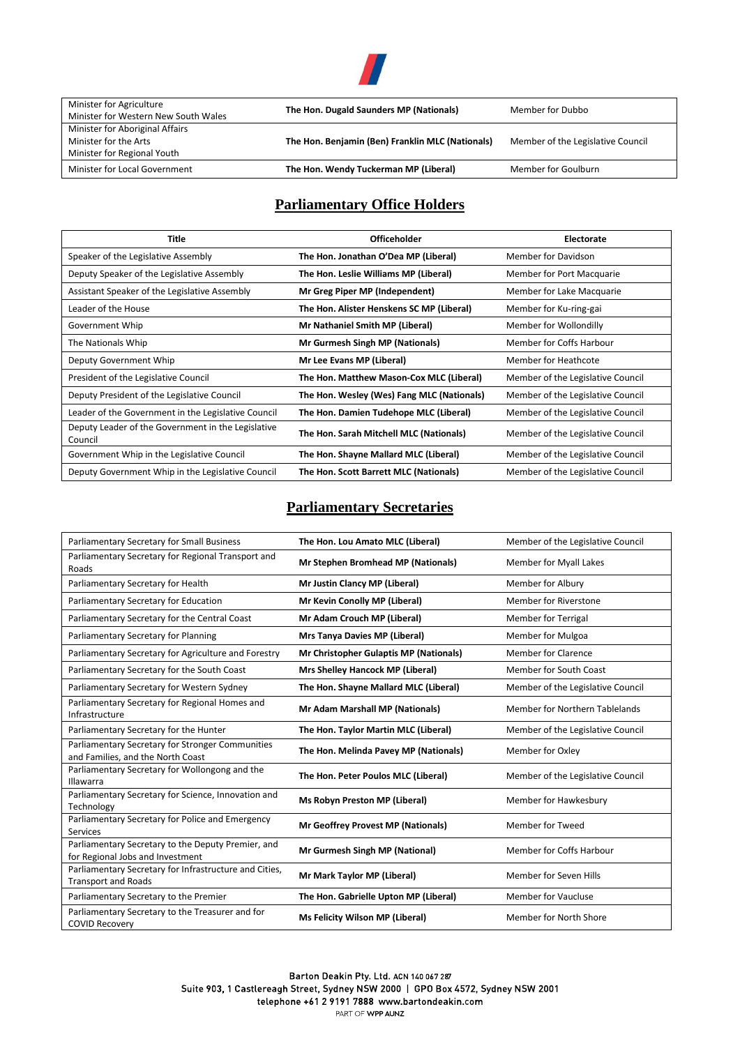

| Minister for Agriculture             | The Hon. Dugald Saunders MP (Nationals)          | Member for Dubbo                  |
|--------------------------------------|--------------------------------------------------|-----------------------------------|
| Minister for Western New South Wales |                                                  |                                   |
| Minister for Aboriginal Affairs      |                                                  |                                   |
| Minister for the Arts                | The Hon. Benjamin (Ben) Franklin MLC (Nationals) | Member of the Legislative Council |
| Minister for Regional Youth          |                                                  |                                   |
| Minister for Local Government        | The Hon. Wendy Tuckerman MP (Liberal)            | Member for Goulburn               |

# **Parliamentary Office Holders**

| Title                                                         | <b>Officeholder</b>                        | Electorate                        |
|---------------------------------------------------------------|--------------------------------------------|-----------------------------------|
| Speaker of the Legislative Assembly                           | The Hon. Jonathan O'Dea MP (Liberal)       | Member for Davidson               |
| Deputy Speaker of the Legislative Assembly                    | The Hon. Leslie Williams MP (Liberal)      | Member for Port Macquarie         |
| Assistant Speaker of the Legislative Assembly                 | Mr Greg Piper MP (Independent)             | Member for Lake Macquarie         |
| Leader of the House                                           | The Hon. Alister Henskens SC MP (Liberal)  | Member for Ku-ring-gai            |
| Government Whip                                               | Mr Nathaniel Smith MP (Liberal)            | Member for Wollondilly            |
| The Nationals Whip                                            | Mr Gurmesh Singh MP (Nationals)            | Member for Coffs Harbour          |
| Deputy Government Whip                                        | Mr Lee Evans MP (Liberal)                  | Member for Heathcote              |
| President of the Legislative Council                          | The Hon. Matthew Mason-Cox MLC (Liberal)   | Member of the Legislative Council |
| Deputy President of the Legislative Council                   | The Hon. Wesley (Wes) Fang MLC (Nationals) | Member of the Legislative Council |
| Leader of the Government in the Legislative Council           | The Hon. Damien Tudehope MLC (Liberal)     | Member of the Legislative Council |
| Deputy Leader of the Government in the Legislative<br>Council | The Hon. Sarah Mitchell MLC (Nationals)    | Member of the Legislative Council |
| Government Whip in the Legislative Council                    | The Hon. Shayne Mallard MLC (Liberal)      | Member of the Legislative Council |
| Deputy Government Whip in the Legislative Council             | The Hon. Scott Barrett MLC (Nationals)     | Member of the Legislative Council |

## **Parliamentary Secretaries**

| Parliamentary Secretary for Small Business                                             | The Hon. Lou Amato MLC (Liberal)          | Member of the Legislative Council |
|----------------------------------------------------------------------------------------|-------------------------------------------|-----------------------------------|
| Parliamentary Secretary for Regional Transport and<br>Roads                            | Mr Stephen Bromhead MP (Nationals)        | Member for Myall Lakes            |
| Parliamentary Secretary for Health                                                     | Mr Justin Clancy MP (Liberal)             | Member for Albury                 |
| Parliamentary Secretary for Education                                                  | Mr Kevin Conolly MP (Liberal)             | <b>Member for Riverstone</b>      |
| Parliamentary Secretary for the Central Coast                                          | Mr Adam Crouch MP (Liberal)               | Member for Terrigal               |
| Parliamentary Secretary for Planning                                                   | <b>Mrs Tanya Davies MP (Liberal)</b>      | <b>Member for Mulgoa</b>          |
| Parliamentary Secretary for Agriculture and Forestry                                   | Mr Christopher Gulaptis MP (Nationals)    | <b>Member for Clarence</b>        |
| Parliamentary Secretary for the South Coast                                            | <b>Mrs Shelley Hancock MP (Liberal)</b>   | <b>Member for South Coast</b>     |
| Parliamentary Secretary for Western Sydney                                             | The Hon. Shayne Mallard MLC (Liberal)     | Member of the Legislative Council |
| Parliamentary Secretary for Regional Homes and<br>Infrastructure                       | Mr Adam Marshall MP (Nationals)           | Member for Northern Tablelands    |
| Parliamentary Secretary for the Hunter                                                 | The Hon. Taylor Martin MLC (Liberal)      | Member of the Legislative Council |
| Parliamentary Secretary for Stronger Communities<br>and Families, and the North Coast  | The Hon. Melinda Pavey MP (Nationals)     | Member for Oxley                  |
| Parliamentary Secretary for Wollongong and the<br>Illawarra                            | The Hon. Peter Poulos MLC (Liberal)       | Member of the Legislative Council |
| Parliamentary Secretary for Science, Innovation and<br>Technology                      | <b>Ms Robyn Preston MP (Liberal)</b>      | Member for Hawkesbury             |
| Parliamentary Secretary for Police and Emergency<br><b>Services</b>                    | <b>Mr Geoffrey Provest MP (Nationals)</b> | Member for Tweed                  |
| Parliamentary Secretary to the Deputy Premier, and<br>for Regional Jobs and Investment | <b>Mr Gurmesh Singh MP (National)</b>     | Member for Coffs Harbour          |
| Parliamentary Secretary for Infrastructure and Cities,<br><b>Transport and Roads</b>   | Mr Mark Taylor MP (Liberal)               | Member for Seven Hills            |
| Parliamentary Secretary to the Premier                                                 | The Hon. Gabrielle Upton MP (Liberal)     | <b>Member for Vaucluse</b>        |
| Parliamentary Secretary to the Treasurer and for<br><b>COVID Recovery</b>              | <b>Ms Felicity Wilson MP (Liberal)</b>    | Member for North Shore            |